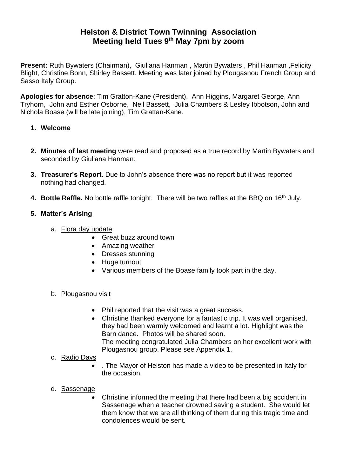# **Helston & District Town Twinning Association Meeting held Tues 9 th May 7pm by zoom**

**Present:** Ruth Bywaters (Chairman), Giuliana Hanman , Martin Bywaters , Phil Hanman ,Felicity Blight, Christine Bonn, Shirley Bassett. Meeting was later joined by Plougasnou French Group and Sasso Italy Group.

**Apologies for absence**: Tim Gratton-Kane (President), Ann Higgins, Margaret George, Ann Tryhorn, John and Esther Osborne, Neil Bassett, Julia Chambers & Lesley Ibbotson, John and Nichola Boase (will be late joining), Tim Grattan-Kane.

#### **1. Welcome**

- **2. Minutes of last meeting** were read and proposed as a true record by Martin Bywaters and seconded by Giuliana Hanman.
- **3. Treasurer's Report.** Due to John's absence there was no report but it was reported nothing had changed.
- **4. Bottle Raffle.** No bottle raffle tonight. There will be two raffles at the BBQ on 16th July.

# **5. Matter's Arising**

- a. Flora day update.
	- Great buzz around town
	- Amazing weather
	- Dresses stunning
	- Huge turnout
	- Various members of the Boase family took part in the day.

#### b. Plougasnou visit

- Phil reported that the visit was a great success.
- Christine thanked everyone for a fantastic trip. It was well organised, they had been warmly welcomed and learnt a lot. Highlight was the Barn dance. Photos will be shared soon. The meeting congratulated Julia Chambers on her excellent work with Plougasnou group. Please see Appendix 1.
- c. Radio Days
	- . The Mayor of Helston has made a video to be presented in Italy for the occasion.
- d. Sassenage
	- Christine informed the meeting that there had been a big accident in Sassenage when a teacher drowned saving a student. She would let them know that we are all thinking of them during this tragic time and condolences would be sent.